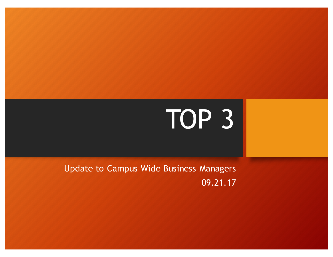# TOP 3

Update to Campus Wide Business Managers 09.21.17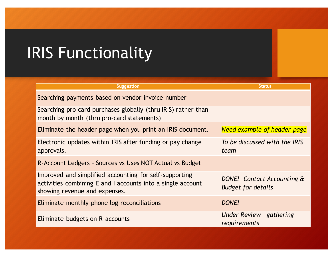# **IRIS Functionality**

| <b>Suggestion</b>                                                                                                                                      | <b>Status</b>                                                  |
|--------------------------------------------------------------------------------------------------------------------------------------------------------|----------------------------------------------------------------|
| Searching payments based on vendor invoice number                                                                                                      |                                                                |
| Searching pro card purchases globally (thru IRIS) rather than<br>month by month (thru pro-card statements)                                             |                                                                |
| Eliminate the header page when you print an IRIS document.                                                                                             | <b>Need example of header page</b>                             |
| Electronic updates within IRIS after funding or pay change<br>approvals.                                                                               | To be discussed with the IRIS<br>team                          |
| R-Account Ledgers - Sources vs Uses NOT Actual vs Budget                                                                                               |                                                                |
| Improved and simplified accounting for self-supporting<br>activities combining E and I accounts into a single account<br>showing revenue and expenses. | <b>DONE!</b> Contact Accounting &<br><b>Budget for details</b> |
| Eliminate monthly phone log reconciliations                                                                                                            | DONE!                                                          |
| Eliminate budgets on R-accounts                                                                                                                        | Under Review - gathering<br>requirements                       |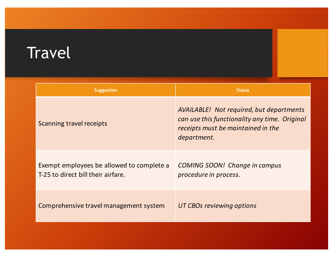# Travel

| <b>Suggestion</b>                                                               | <b>Status</b>                                                                                                                                         |
|---------------------------------------------------------------------------------|-------------------------------------------------------------------------------------------------------------------------------------------------------|
| Scanning travel receipts                                                        | <b>AVAILABLE!</b> Not required, but departments<br>can use this functionality any time. Original<br>receipts must be maintained in the<br>department. |
| Exempt employees be allowed to complete a<br>T-25 to direct bill their airfare. | <b>COMING SOON!</b> Change in campus<br>procedure in process.                                                                                         |
| Comprehensive travel management system                                          | UT CBOs reviewing options                                                                                                                             |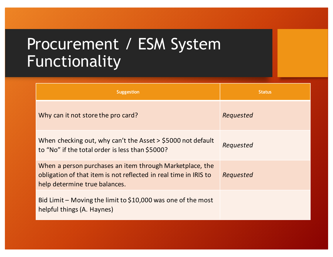#### Procurement / ESM System Functionality

| <b>Suggestion</b>                                                                                                                                             | <b>Status</b> |
|---------------------------------------------------------------------------------------------------------------------------------------------------------------|---------------|
| Why can it not store the pro card?                                                                                                                            | Requested     |
| When checking out, why can't the Asset > \$5000 not default<br>to "No" if the total order is less than \$5000?                                                | Requested     |
| When a person purchases an item through Marketplace, the<br>obligation of that item is not reflected in real time in IRIS to<br>help determine true balances. | Requested     |
| Bid Limit – Moving the limit to \$10,000 was one of the most<br>helpful things (A. Haynes)                                                                    |               |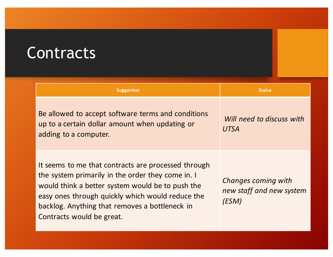#### **Contracts**

| <b>Suggestion</b>                                                                                                                                                                                                                                                                               | <b>Status</b>                                            |
|-------------------------------------------------------------------------------------------------------------------------------------------------------------------------------------------------------------------------------------------------------------------------------------------------|----------------------------------------------------------|
| Be allowed to accept software terms and conditions<br>up to a certain dollar amount when updating or<br>adding to a computer.                                                                                                                                                                   | Will need to discuss with<br><b>UTSA</b>                 |
| It seems to me that contracts are processed through<br>the system primarily in the order they come in. I<br>would think a better system would be to push the<br>easy ones through quickly which would reduce the<br>backlog. Anything that removes a bottleneck in<br>Contracts would be great. | Changes coming with<br>new staff and new system<br>(ESM) |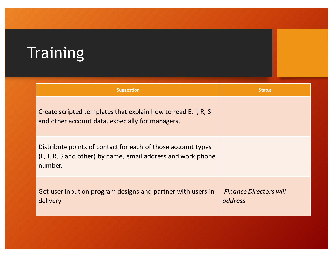# **Training**

| <b>Suggestion</b>                                                                                                                       | <b>Status</b>                            |
|-----------------------------------------------------------------------------------------------------------------------------------------|------------------------------------------|
| Create scripted templates that explain how to read E, I, R, S<br>and other account data, especially for managers.                       |                                          |
| Distribute points of contact for each of those account types<br>(E, I, R, S and other) by name, email address and work phone<br>number. |                                          |
| Get user input on program designs and partner with users in<br>delivery                                                                 | <b>Finance Directors will</b><br>address |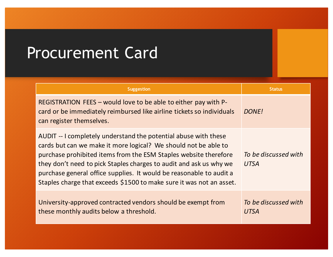### Procurement Card

| <b>Suggestion</b>                                                                                                                                                                                                                                                                                                                                                                                                           | <b>Status</b>                       |
|-----------------------------------------------------------------------------------------------------------------------------------------------------------------------------------------------------------------------------------------------------------------------------------------------------------------------------------------------------------------------------------------------------------------------------|-------------------------------------|
| REGISTRATION FEES – would love to be able to either pay with P-<br>card or be immediately reimbursed like airline tickets so individuals<br>can register themselves.                                                                                                                                                                                                                                                        | <b>DONE!</b>                        |
| AUDIT -- I completely understand the potential abuse with these<br>cards but can we make it more logical? We should not be able to<br>purchase prohibited items from the ESM Staples website therefore<br>they don't need to pick Staples charges to audit and ask us why we<br>purchase general office supplies. It would be reasonable to audit a<br>Staples charge that exceeds \$1500 to make sure it was not an asset. | To be discussed with<br><b>UTSA</b> |
| University-approved contracted vendors should be exempt from<br>these monthly audits below a threshold.                                                                                                                                                                                                                                                                                                                     | To be discussed with<br>UTSA        |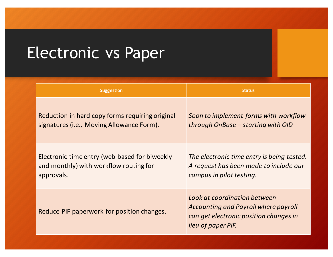# Electronic vs Paper

| <b>Suggestion</b>                               | <b>Status</b>                                                                                                                               |
|-------------------------------------------------|---------------------------------------------------------------------------------------------------------------------------------------------|
| Reduction in hard copy forms requiring original | Soon to implement forms with workflow                                                                                                       |
| signatures (i.e., Moving Allowance Form).       | through OnBase – starting with OID                                                                                                          |
| Electronic time entry (web based for biweekly   | The electronic time entry is being tested.                                                                                                  |
| and monthly) with workflow routing for          | A request has been made to include our                                                                                                      |
| approvals.                                      | campus in pilot testing.                                                                                                                    |
| Reduce PIF paperwork for position changes.      | Look at coordination between<br><b>Accounting and Payroll where payroll</b><br>can get electronic position changes in<br>lieu of paper PIF. |